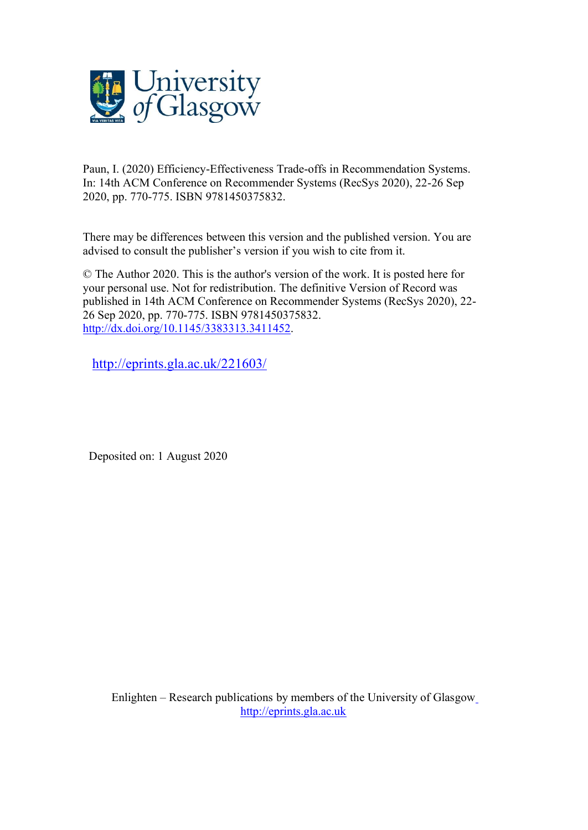

Paun, I. (2020) Efficiency-Effectiveness Trade-offs in Recommendation Systems. In: 14th ACM Conference on Recommender Systems (RecSys 2020), 22-26 Sep 2020, pp. 770-775. ISBN 9781450375832.

There may be differences between this version and the published version. You are advised to consult the publisher's version if you wish to cite from it.

© The Author 2020. This is the author's version of the work. It is posted here for your personal use. Not for redistribution. The definitive Version of Record was published in 14th ACM Conference on Recommender Systems (RecSys 2020), 22- 26 Sep 2020, pp. 770-775. ISBN 9781450375832. [http://dx.doi.org/10.1145/3383313.3411452.](http://dx.doi.org/10.1145/3383313.3411452)

<http://eprints.gla.ac.uk/221603/>

Deposited on: 1 August 2020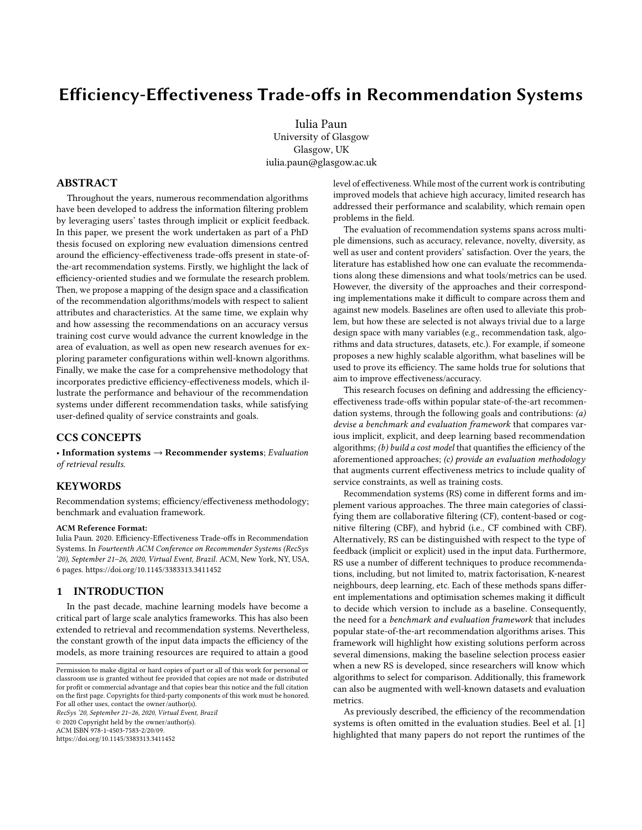# Efficiency-Effectiveness Trade-offs in Recommendation Systems

Iulia Paun University of Glasgow Glasgow, UK iulia.paun@glasgow.ac.uk

### ABSTRACT

Throughout the years, numerous recommendation algorithms have been developed to address the information filtering problem by leveraging users' tastes through implicit or explicit feedback. In this paper, we present the work undertaken as part of a PhD thesis focused on exploring new evaluation dimensions centred around the efficiency-effectiveness trade-offs present in state-ofthe-art recommendation systems. Firstly, we highlight the lack of efficiency-oriented studies and we formulate the research problem. Then, we propose a mapping of the design space and a classification of the recommendation algorithms/models with respect to salient attributes and characteristics. At the same time, we explain why and how assessing the recommendations on an accuracy versus training cost curve would advance the current knowledge in the area of evaluation, as well as open new research avenues for exploring parameter configurations within well-known algorithms. Finally, we make the case for a comprehensive methodology that incorporates predictive efficiency-effectiveness models, which illustrate the performance and behaviour of the recommendation systems under different recommendation tasks, while satisfying user-defined quality of service constraints and goals.

### CCS CONCEPTS

• Information systems  $\rightarrow$  Recommender systems; *Evaluation of retrieval results*.

### **KEYWORDS**

Recommendation systems; efficiency/effectiveness methodology; benchmark and evaluation framework.

#### ACM Reference Format:

Iulia Paun. 2020. Efficiency-Effectiveness Trade-offs in Recommendation Systems. In *Fourteenth ACM Conference on Recommender Systems (RecSys '20), September 21–26, 2020, Virtual Event, Brazil.* ACM, New York, NY, USA, [6](#page-6-0) pages.<https://doi.org/10.1145/3383313.3411452>

### 1 INTRODUCTION

In the past decade, machine learning models have become a critical part of large scale analytics frameworks. This has also been extended to retrieval and recommendation systems. Nevertheless, the constant growth of the input data impacts the efficiency of the models, as more training resources are required to attain a good

*RecSys '20, September 21–26, 2020, Virtual Event, Brazil* © 2020 Copyright held by the owner/author(s). ACM ISBN 978-1-4503-7583-2/20/09. <https://doi.org/10.1145/3383313.3411452>

level of effectiveness. While most of the current work is contributing improved models that achieve high accuracy, limited research has addressed their performance and scalability, which remain open problems in the field.

The evaluation of recommendation systems spans across multiple dimensions, such as accuracy, relevance, novelty, diversity, as well as user and content providers' satisfaction. Over the years, the literature has established how one can evaluate the recommendations along these dimensions and what tools/metrics can be used. However, the diversity of the approaches and their corresponding implementations make it difficult to compare across them and against new models. Baselines are often used to alleviate this problem, but how these are selected is not always trivial due to a large design space with many variables (e.g., recommendation task, algorithms and data structures, datasets, etc.). For example, if someone proposes a new highly scalable algorithm, what baselines will be used to prove its efficiency. The same holds true for solutions that aim to improve effectiveness/accuracy.

This research focuses on defining and addressing the efficiencyeffectiveness trade-offs within popular state-of-the-art recommendation systems, through the following goals and contributions: *(a) devise a benchmark and evaluation framework* that compares various implicit, explicit, and deep learning based recommendation algorithms; *(b) build a cost model* that quantifies the efficiency of the aforementioned approaches; *(c) provide an evaluation methodology* that augments current effectiveness metrics to include quality of service constraints, as well as training costs.

Recommendation systems (RS) come in different forms and implement various approaches. The three main categories of classifying them are collaborative filtering (CF), content-based or cognitive filtering (CBF), and hybrid (i.e., CF combined with CBF). Alternatively, RS can be distinguished with respect to the type of feedback (implicit or explicit) used in the input data. Furthermore, RS use a number of different techniques to produce recommendations, including, but not limited to, matrix factorisation, K-nearest neighbours, deep learning, etc. Each of these methods spans different implementations and optimisation schemes making it difficult to decide which version to include as a baseline. Consequently, the need for a *benchmark and evaluation framework* that includes popular state-of-the-art recommendation algorithms arises. This framework will highlight how existing solutions perform across several dimensions, making the baseline selection process easier when a new RS is developed, since researchers will know which algorithms to select for comparison. Additionally, this framework can also be augmented with well-known datasets and evaluation metrics.

As previously described, the efficiency of the recommendation systems is often omitted in the evaluation studies. Beel et al. [\[1\]](#page-5-0) highlighted that many papers do not report the runtimes of the

Permission to make digital or hard copies of part or all of this work for personal or classroom use is granted without fee provided that copies are not made or distributed for profit or commercial advantage and that copies bear this notice and the full citation on the first page. Copyrights for third-party components of this work must be honored. For all other uses, contact the owner/author(s).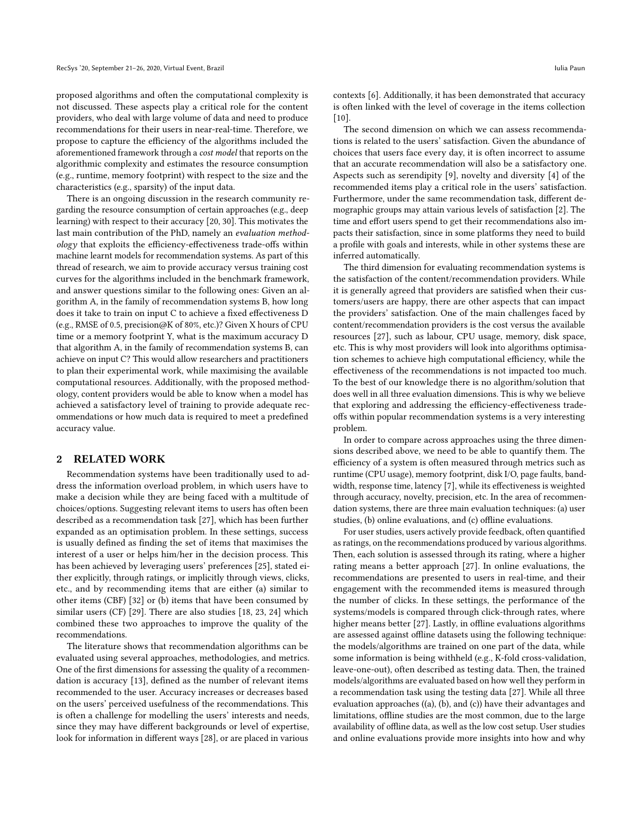proposed algorithms and often the computational complexity is not discussed. These aspects play a critical role for the content providers, who deal with large volume of data and need to produce recommendations for their users in near-real-time. Therefore, we propose to capture the efficiency of the algorithms included the aforementioned framework through a *cost model* that reports on the algorithmic complexity and estimates the resource consumption (e.g., runtime, memory footprint) with respect to the size and the characteristics (e.g., sparsity) of the input data.

There is an ongoing discussion in the research community regarding the resource consumption of certain approaches (e.g., deep learning) with respect to their accuracy [\[20,](#page-5-1) [30\]](#page-5-2). This motivates the last main contribution of the PhD, namely an *evaluation methodology* that exploits the efficiency-effectiveness trade-offs within machine learnt models for recommendation systems. As part of this thread of research, we aim to provide accuracy versus training cost curves for the algorithms included in the benchmark framework, and answer questions similar to the following ones: Given an algorithm A, in the family of recommendation systems B, how long does it take to train on input C to achieve a fixed effectiveness D (e.g., RMSE of 0.5, precision@K of 80%, etc.)? Given X hours of CPU time or a memory footprint Y, what is the maximum accuracy D that algorithm A, in the family of recommendation systems B, can achieve on input C? This would allow researchers and practitioners to plan their experimental work, while maximising the available computational resources. Additionally, with the proposed methodology, content providers would be able to know when a model has achieved a satisfactory level of training to provide adequate recommendations or how much data is required to meet a predefined accuracy value.

### 2 RELATED WORK

Recommendation systems have been traditionally used to address the information overload problem, in which users have to make a decision while they are being faced with a multitude of choices/options. Suggesting relevant items to users has often been described as a recommendation task [\[27\]](#page-5-3), which has been further expanded as an optimisation problem. In these settings, success is usually defined as finding the set of items that maximises the interest of a user or helps him/her in the decision process. This has been achieved by leveraging users' preferences [\[25\]](#page-5-4), stated either explicitly, through ratings, or implicitly through views, clicks, etc., and by recommending items that are either (a) similar to other items (CBF) [\[32\]](#page-6-1) or (b) items that have been consumed by similar users (CF) [\[29\]](#page-5-5). There are also studies [\[18,](#page-5-6) [23,](#page-5-7) [24\]](#page-5-8) which combined these two approaches to improve the quality of the recommendations.

The literature shows that recommendation algorithms can be evaluated using several approaches, methodologies, and metrics. One of the first dimensions for assessing the quality of a recommen-dation is accuracy [\[13\]](#page-5-9), defined as the number of relevant items recommended to the user. Accuracy increases or decreases based on the users' perceived usefulness of the recommendations. This is often a challenge for modelling the users' interests and needs, since they may have different backgrounds or level of expertise, look for information in different ways [\[28\]](#page-5-10), or are placed in various

contexts [\[6\]](#page-5-11). Additionally, it has been demonstrated that accuracy is often linked with the level of coverage in the items collection  $[10]$ .

The second dimension on which we can assess recommendations is related to the users' satisfaction. Given the abundance of choices that users face every day, it is often incorrect to assume that an accurate recommendation will also be a satisfactory one. Aspects such as serendipity [\[9\]](#page-5-13), novelty and diversity [\[4\]](#page-5-14) of the recommended items play a critical role in the users' satisfaction. Furthermore, under the same recommendation task, different demographic groups may attain various levels of satisfaction [\[2\]](#page-5-15). The time and effort users spend to get their recommendations also impacts their satisfaction, since in some platforms they need to build a profile with goals and interests, while in other systems these are inferred automatically.

The third dimension for evaluating recommendation systems is the satisfaction of the content/recommendation providers. While it is generally agreed that providers are satisfied when their customers/users are happy, there are other aspects that can impact the providers' satisfaction. One of the main challenges faced by content/recommendation providers is the cost versus the available resources [\[27\]](#page-5-3), such as labour, CPU usage, memory, disk space, etc. This is why most providers will look into algorithms optimisation schemes to achieve high computational efficiency, while the effectiveness of the recommendations is not impacted too much. To the best of our knowledge there is no algorithm/solution that does well in all three evaluation dimensions. This is why we believe that exploring and addressing the efficiency-effectiveness tradeoffs within popular recommendation systems is a very interesting problem.

In order to compare across approaches using the three dimensions described above, we need to be able to quantify them. The efficiency of a system is often measured through metrics such as runtime (CPU usage), memory footprint, disk I/O, page faults, band-width, response time, latency [\[7\]](#page-5-16), while its effectiveness is weighted through accuracy, novelty, precision, etc. In the area of recommendation systems, there are three main evaluation techniques: (a) user studies,  $(b)$  online evaluations, and  $(c)$  offline evaluations.

For user studies, users actively provide feedback, often quantified as ratings, on the recommendations produced by various algorithms. Then, each solution is assessed through its rating, where a higher rating means a better approach [\[27\]](#page-5-3). In online evaluations, the recommendations are presented to users in real-time, and their engagement with the recommended items is measured through the number of clicks. In these settings, the performance of the systems/models is compared through click-through rates, where higher means better [\[27\]](#page-5-3). Lastly, in offline evaluations algorithms are assessed against offline datasets using the following technique: the models/algorithms are trained on one part of the data, while some information is being withheld (e.g., K-fold cross-validation, leave-one-out), often described as testing data. Then, the trained models/algorithms are evaluated based on how well they perform in a recommendation task using the testing data [\[27\]](#page-5-3). While all three evaluation approaches ((a), (b), and (c)) have their advantages and limitations, offline studies are the most common, due to the large availability of offline data, as well as the low cost setup. User studies and online evaluations provide more insights into how and why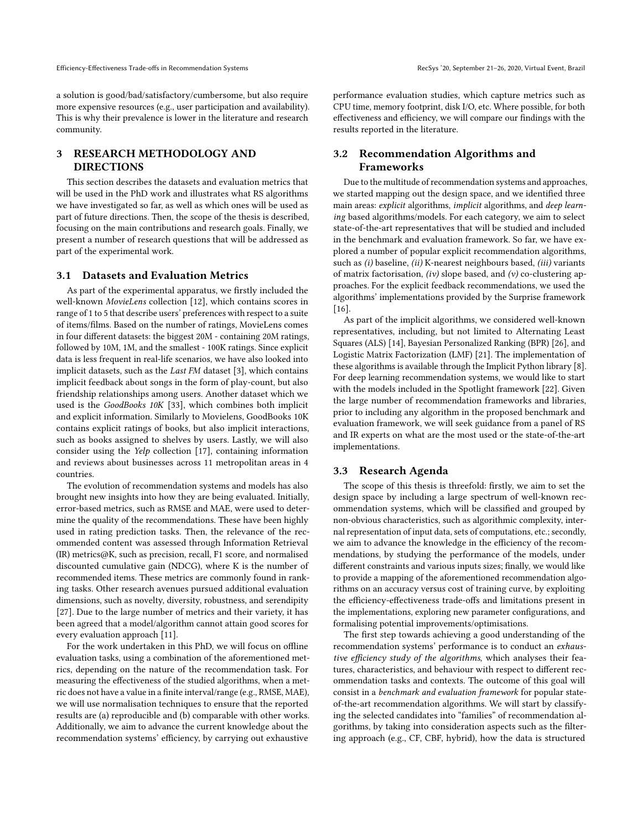a solution is good/bad/satisfactory/cumbersome, but also require more expensive resources (e.g., user participation and availability). This is why their prevalence is lower in the literature and research community.

# 3 RESEARCH METHODOLOGY AND DIRECTIONS

This section describes the datasets and evaluation metrics that will be used in the PhD work and illustrates what RS algorithms we have investigated so far, as well as which ones will be used as part of future directions. Then, the scope of the thesis is described, focusing on the main contributions and research goals. Finally, we present a number of research questions that will be addressed as part of the experimental work.

### 3.1 Datasets and Evaluation Metrics

As part of the experimental apparatus, we firstly included the well-known *MovieLens* collection [\[12\]](#page-5-17), which contains scores in range of 1 to 5 that describe users' preferences with respect to a suite of items/films. Based on the number of ratings, MovieLens comes in four different datasets: the biggest 20M - containing 20M ratings, followed by 10M, 1M, and the smallest - 100K ratings. Since explicit data is less frequent in real-life scenarios, we have also looked into implicit datasets, such as the *Last FM* dataset [\[3\]](#page-5-18), which contains implicit feedback about songs in the form of play-count, but also friendship relationships among users. Another dataset which we used is the *GoodBooks 10K* [\[33\]](#page-6-2), which combines both implicit and explicit information. Similarly to Movielens, GoodBooks 10K contains explicit ratings of books, but also implicit interactions, such as books assigned to shelves by users. Lastly, we will also consider using the *Yelp* collection [\[17\]](#page-5-19), containing information and reviews about businesses across 11 metropolitan areas in 4 countries.

The evolution of recommendation systems and models has also brought new insights into how they are being evaluated. Initially, error-based metrics, such as RMSE and MAE, were used to determine the quality of the recommendations. These have been highly used in rating prediction tasks. Then, the relevance of the recommended content was assessed through Information Retrieval (IR) metrics@K, such as precision, recall, F1 score, and normalised discounted cumulative gain (NDCG), where K is the number of recommended items. These metrics are commonly found in ranking tasks. Other research avenues pursued additional evaluation dimensions, such as novelty, diversity, robustness, and serendipity [\[27\]](#page-5-3). Due to the large number of metrics and their variety, it has been agreed that a model/algorithm cannot attain good scores for every evaluation approach [\[11\]](#page-5-20).

For the work undertaken in this PhD, we will focus on offline evaluation tasks, using a combination of the aforementioned metrics, depending on the nature of the recommendation task. For measuring the effectiveness of the studied algorithms, when a metric does not have a value in a finite interval/range (e.g., RMSE, MAE), we will use normalisation techniques to ensure that the reported results are (a) reproducible and (b) comparable with other works. Additionally, we aim to advance the current knowledge about the recommendation systems' efficiency, by carrying out exhaustive

performance evaluation studies, which capture metrics such as CPU time, memory footprint, disk I/O, etc. Where possible, for both effectiveness and efficiency, we will compare our findings with the results reported in the literature.

## 3.2 Recommendation Algorithms and Frameworks

Due to the multitude of recommendation systems and approaches, we started mapping out the design space, and we identified three main areas: *explicit* algorithms, *implicit* algorithms, and *deep learning* based algorithms/models. For each category, we aim to select state-of-the-art representatives that will be studied and included in the benchmark and evaluation framework. So far, we have explored a number of popular explicit recommendation algorithms, such as *(i)* baseline, *(ii)* K-nearest neighbours based, *(iii)* variants of matrix factorisation, *(iv)* slope based, and *(v)* co-clustering approaches. For the explicit feedback recommendations, we used the algorithms' implementations provided by the Surprise framework [\[16\]](#page-5-21).

As part of the implicit algorithms, we considered well-known representatives, including, but not limited to Alternating Least Squares (ALS) [\[14\]](#page-5-22), Bayesian Personalized Ranking (BPR) [\[26\]](#page-5-23), and Logistic Matrix Factorization (LMF) [\[21\]](#page-5-24). The implementation of these algorithms is available through the Implicit Python library [\[8\]](#page-5-25). For deep learning recommendation systems, we would like to start with the models included in the Spotlight framework [\[22\]](#page-5-26). Given the large number of recommendation frameworks and libraries, prior to including any algorithm in the proposed benchmark and evaluation framework, we will seek guidance from a panel of RS and IR experts on what are the most used or the state-of-the-art implementations.

### 3.3 Research Agenda

The scope of this thesis is threefold: firstly, we aim to set the design space by including a large spectrum of well-known recommendation systems, which will be classified and grouped by non-obvious characteristics, such as algorithmic complexity, internal representation of input data, sets of computations, etc.; secondly, we aim to advance the knowledge in the efficiency of the recommendations, by studying the performance of the models, under different constraints and various inputs sizes; finally, we would like to provide a mapping of the aforementioned recommendation algorithms on an accuracy versus cost of training curve, by exploiting the efficiency-effectiveness trade-offs and limitations present in the implementations, exploring new parameter configurations, and formalising potential improvements/optimisations.

The first step towards achieving a good understanding of the recommendation systems' performance is to conduct an *exhaus*tive efficiency study of the algorithms, which analyses their features, characteristics, and behaviour with respect to different recommendation tasks and contexts. The outcome of this goal will consist in a *benchmark and evaluation framework* for popular stateof-the-art recommendation algorithms. We will start by classifying the selected candidates into "families" of recommendation algorithms, by taking into consideration aspects such as the filtering approach (e.g., CF, CBF, hybrid), how the data is structured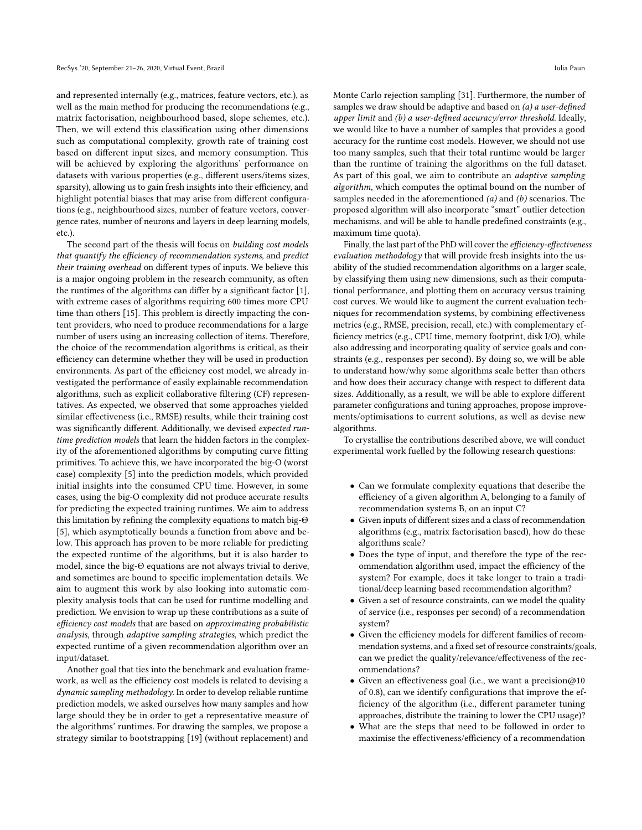and represented internally (e.g., matrices, feature vectors, etc.), as well as the main method for producing the recommendations (e.g., matrix factorisation, neighbourhood based, slope schemes, etc.). Then, we will extend this classification using other dimensions such as computational complexity, growth rate of training cost based on different input sizes, and memory consumption. This will be achieved by exploring the algorithms' performance on datasets with various properties (e.g., different users/items sizes, sparsity), allowing us to gain fresh insights into their efficiency, and highlight potential biases that may arise from different configurations (e.g., neighbourhood sizes, number of feature vectors, convergence rates, number of neurons and layers in deep learning models, etc.).

The second part of the thesis will focus on *building cost models that quantify the efficiency of recommendation systems, and predict their training overhead* on different types of inputs. We believe this is a major ongoing problem in the research community, as often the runtimes of the algorithms can differ by a significant factor  $[1]$ , with extreme cases of algorithms requiring 600 times more CPU time than others [\[15\]](#page-5-27). This problem is directly impacting the content providers, who need to produce recommendations for a large number of users using an increasing collection of items. Therefore, the choice of the recommendation algorithms is critical, as their efficiency can determine whether they will be used in production environments. As part of the efficiency cost model, we already investigated the performance of easily explainable recommendation algorithms, such as explicit collaborative filtering (CF) representatives. As expected, we observed that some approaches yielded similar effectiveness (i.e., RMSE) results, while their training cost was significantly different. Additionally, we devised *expected runtime prediction models* that learn the hidden factors in the complexity of the aforementioned algorithms by computing curve fitting primitives. To achieve this, we have incorporated the big-O (worst case) complexity [\[5\]](#page-5-28) into the prediction models, which provided initial insights into the consumed CPU time. However, in some cases, using the big-O complexity did not produce accurate results for predicting the expected training runtimes. We aim to address this limitation by refining the complexity equations to match big- $\Theta$ [\[5\]](#page-5-28), which asymptotically bounds a function from above and below. This approach has proven to be more reliable for predicting the expected runtime of the algorithms, but it is also harder to model, since the big- $\Theta$  equations are not always trivial to derive, and sometimes are bound to specific implementation details. We aim to augment this work by also looking into automatic complexity analysis tools that can be used for runtime modelling and prediction. We envision to wrap up these contributions as a suite of *e*!*ciency cost models* that are based on *approximating probabilistic analysis*, through *adaptive sampling strategies*, which predict the expected runtime of a given recommendation algorithm over an input/dataset.

Another goal that ties into the benchmark and evaluation framework, as well as the efficiency cost models is related to devising a *dynamic sampling methodology*. In order to develop reliable runtime prediction models, we asked ourselves how many samples and how large should they be in order to get a representative measure of the algorithms' runtimes. For drawing the samples, we propose a strategy similar to bootstrapping [\[19\]](#page-5-29) (without replacement) and

Monte Carlo rejection sampling [\[31\]](#page-6-3). Furthermore, the number of samples we draw should be adaptive and based on (a) a user-defined *upper limit* and *(b) a user-de*"*ned accuracy/error threshold*. Ideally, we would like to have a number of samples that provides a good accuracy for the runtime cost models. However, we should not use too many samples, such that their total runtime would be larger than the runtime of training the algorithms on the full dataset. As part of this goal, we aim to contribute an *adaptive sampling algorithm*, which computes the optimal bound on the number of samples needed in the aforementioned *(a)* and *(b)* scenarios. The proposed algorithm will also incorporate "smart" outlier detection mechanisms, and will be able to handle predefined constraints (e.g., maximum time quota).

Finally, the last part of the PhD will cover the *efficiency-effectiveness evaluation methodology* that will provide fresh insights into the usability of the studied recommendation algorithms on a larger scale, by classifying them using new dimensions, such as their computational performance, and plotting them on accuracy versus training cost curves. We would like to augment the current evaluation techniques for recommendation systems, by combining effectiveness metrics (e.g., RMSE, precision, recall, etc.) with complementary ef ficiency metrics (e.g., CPU time, memory footprint, disk I/O), while also addressing and incorporating quality of service goals and constraints (e.g., responses per second). By doing so, we will be able to understand how/why some algorithms scale better than others and how does their accuracy change with respect to different data sizes. Additionally, as a result, we will be able to explore different parameter configurations and tuning approaches, propose improvements/optimisations to current solutions, as well as devise new algorithms.

To crystallise the contributions described above, we will conduct experimental work fuelled by the following research questions:

- Can we formulate complexity equations that describe the efficiency of a given algorithm A, belonging to a family of recommendation systems B, on an input C?
- Given inputs of different sizes and a class of recommendation algorithms (e.g., matrix factorisation based), how do these algorithms scale?
- Does the type of input, and therefore the type of the recommendation algorithm used, impact the efficiency of the system? For example, does it take longer to train a traditional/deep learning based recommendation algorithm?
- Given a set of resource constraints, can we model the quality of service (i.e., responses per second) of a recommendation system?
- Given the efficiency models for different families of recommendation systems, and a fixed set of resource constraints/goals, can we predict the quality/relevance/effectiveness of the recommendations?
- Given an effectiveness goal (i.e., we want a precision@10 of 0.8), can we identify configurations that improve the efficiency of the algorithm (i.e., different parameter tuning approaches, distribute the training to lower the CPU usage)?
- What are the steps that need to be followed in order to maximise the effectiveness/efficiency of a recommendation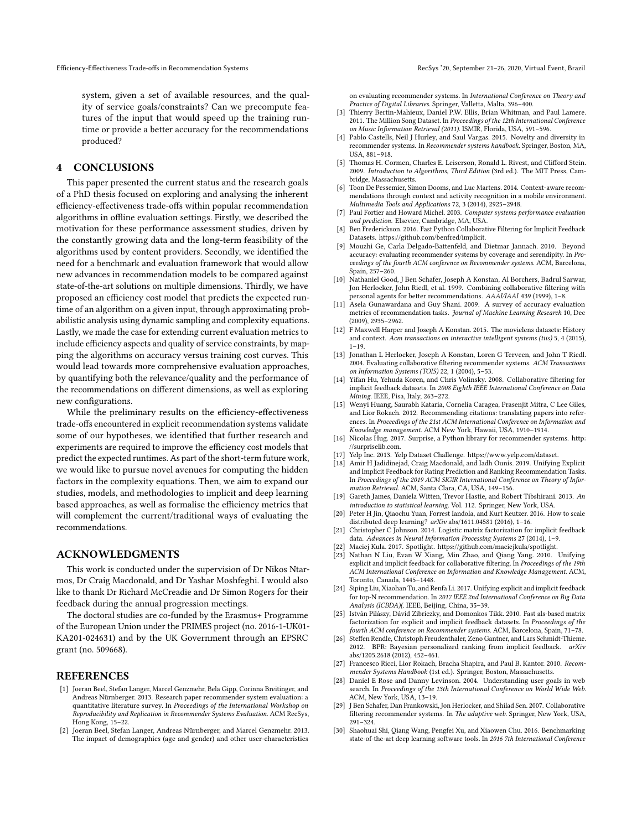system, given a set of available resources, and the quality of service goals/constraints? Can we precompute features of the input that would speed up the training runtime or provide a better accuracy for the recommendations produced?

### 4 CONCLUSIONS

This paper presented the current status and the research goals of a PhD thesis focused on exploring and analysing the inherent efficiency-effectiveness trade-offs within popular recommendation algorithms in offline evaluation settings. Firstly, we described the motivation for these performance assessment studies, driven by the constantly growing data and the long-term feasibility of the algorithms used by content providers. Secondly, we identified the need for a benchmark and evaluation framework that would allow new advances in recommendation models to be compared against state-of-the-art solutions on multiple dimensions. Thirdly, we have proposed an efficiency cost model that predicts the expected runtime of an algorithm on a given input, through approximating probabilistic analysis using dynamic sampling and complexity equations. Lastly, we made the case for extending current evaluation metrics to include efficiency aspects and quality of service constraints, by mapping the algorithms on accuracy versus training cost curves. This would lead towards more comprehensive evaluation approaches, by quantifying both the relevance/quality and the performance of the recommendations on different dimensions, as well as exploring new configurations.

While the preliminary results on the efficiency-effectiveness trade-offs encountered in explicit recommendation systems validate some of our hypotheses, we identified that further research and experiments are required to improve the efficiency cost models that predict the expected runtimes. As part of the short-term future work, we would like to pursue novel avenues for computing the hidden factors in the complexity equations. Then, we aim to expand our studies, models, and methodologies to implicit and deep learning based approaches, as well as formalise the efficiency metrics that will complement the current/traditional ways of evaluating the recommendations.

### ACKNOWLEDGMENTS

This work is conducted under the supervision of Dr Nikos Ntarmos, Dr Craig Macdonald, and Dr Yashar Moshfeghi. I would also like to thank Dr Richard McCreadie and Dr Simon Rogers for their feedback during the annual progression meetings.

The doctoral studies are co-funded by the Erasmus+ Programme of the European Union under the PRIMES project (no. 2016-1-UK01- KA201-024631) and by the UK Government through an EPSRC grant (no. 509668).

#### **REFERENCES**

- <span id="page-5-0"></span>[1] Joeran Beel, Stefan Langer, Marcel Genzmehr, Bela Gipp, Corinna Breitinger, and Andreas Nürnberger. 2013. Research paper recommender system evaluation: a quantitative literature survey. In *Proceedings of the International Workshop on Reproducibility and Replication in Recommender Systems Evaluation*. ACM RecSys, Hong Kong, 15–22.
- <span id="page-5-15"></span>[2] Joeran Beel, Stefan Langer, Andreas Nürnberger, and Marcel Genzmehr. 2013. The impact of demographics (age and gender) and other user-characteristics

on evaluating recommender systems. In *International Conference on Theory and Practice of Digital Libraries*. Springer, Valletta, Malta, 396–400.

- <span id="page-5-18"></span>[3] Thierry Bertin-Mahieux, Daniel P.W. Ellis, Brian Whitman, and Paul Lamere. 2011. The Million Song Dataset. In *Proceedings of the 12th International Conference on Music Information Retrieval (2011)*. ISMIR, Florida, USA, 591–596.
- <span id="page-5-14"></span>[4] Pablo Castells, Neil J Hurley, and Saul Vargas. 2015. Novelty and diversity in recommender systems. In *Recommender systems handbook*. Springer, Boston, MA, USA, 881–918.
- <span id="page-5-28"></span>[5] Thomas H. Cormen, Charles E. Leiserson, Ronald L. Rivest, and Clifford Stein. 2009. *Introduction to Algorithms, Third Edition* (3rd ed.). The MIT Press, Cambridge, Massachusetts.
- <span id="page-5-11"></span>[6] Toon De Pessemier, Simon Dooms, and Luc Martens. 2014. Context-aware recommendations through context and activity recognition in a mobile environment. *Multimedia Tools and Applications* 72, 3 (2014), 2925–2948.
- <span id="page-5-16"></span>[7] Paul Fortier and Howard Michel. 2003. *Computer systems performance evaluation and prediction*. Elsevier, Cambridge, MA, USA.
- <span id="page-5-25"></span>[8] Ben Frederickson. 2016. Fast Python Collaborative Filtering for Implicit Feedback Datasets. [https://github.com/benfred/implicit.](https://github.com/benfred/implicit)
- <span id="page-5-13"></span>[9] Mouzhi Ge, Carla Delgado-Battenfeld, and Dietmar Jannach. 2010. Beyond accuracy: evaluating recommender systems by coverage and serendipity. In *Proceedings of the fourth ACM conference on Recommender systems*. ACM, Barcelona, Spain, 257–260.
- <span id="page-5-12"></span>[10] Nathaniel Good, J Ben Schafer, Joseph A Konstan, Al Borchers, Badrul Sarwar, Jon Herlocker, John Riedl, et al. 1999. Combining collaborative filtering with personal agents for better recommendations. *AAAI/IAAI* 439 (1999), 1–8.
- <span id="page-5-20"></span>[11] Asela Gunawardana and Guy Shani. 2009. A survey of accuracy evaluation metrics of recommendation tasks. *Journal of Machine Learning Research* 10, Dec (2009), 2935–2962.
- <span id="page-5-17"></span>[12] F Maxwell Harper and Joseph A Konstan. 2015. The movielens datasets: History and context. *Acm transactions on interactive intelligent systems (tiis)* 5, 4 (2015), 1–19.
- <span id="page-5-9"></span>[13] Jonathan L Herlocker, Joseph A Konstan, Loren G Terveen, and John T Riedl. 2004. Evaluating collaborative filtering recommender systems. *ACM Transactions on Information Systems (TOIS)* 22, 1 (2004), 5–53.
- <span id="page-5-22"></span>[14] Yifan Hu, Yehuda Koren, and Chris Volinsky. 2008. Collaborative filtering for implicit feedback datasets. In *2008 Eighth IEEE International Conference on Data Mining*. IEEE, Pisa, Italy, 263–272.
- <span id="page-5-27"></span>[15] Wenyi Huang, Saurabh Kataria, Cornelia Caragea, Prasenjit Mitra, C Lee Giles, and Lior Rokach. 2012. Recommending citations: translating papers into references. In *Proceedings of the 21st ACM International Conference on Information and Knowledge management*. ACM New York, Hawaii, USA, 1910–1914.
- <span id="page-5-21"></span>[16] Nicolas Hug. 2017. Surprise, a Python library for recommender systems. [http:](http://surpriselib.com) [//surpriselib.com.](http://surpriselib.com)
- <span id="page-5-19"></span>[17] Yelp Inc. 2013. Yelp Dataset Challenge. [https://www.yelp.com/dataset.](https://www.yelp.com/dataset)
- <span id="page-5-6"></span>Amir H Jadidinejad, Craig Macdonald, and Iadh Ounis. 2019. Unifying Explicit and Implicit Feedback for Rating Prediction and Ranking Recommendation Tasks. In *Proceedings of the 2019 ACM SIGIR International Conference on Theory of Information Retrieval*. ACM, Santa Clara, CA, USA, 149–156.
- <span id="page-5-29"></span>[19] Gareth James, Daniela Witten, Trevor Hastie, and Robert Tibshirani. 2013. *An introduction to statistical learning*. Vol. 112. Springer, New York, USA.
- <span id="page-5-1"></span>[20] Peter H Jin, Qiaochu Yuan, Forrest Iandola, and Kurt Keutzer. 2016. How to scale distributed deep learning? *arXiv* abs/1611.04581 (2016), 1–16.
- <span id="page-5-24"></span>[21] Christopher C Johnson. 2014. Logistic matrix factorization for implicit feedback data. *Advances in Neural Information Processing Systems* 27 (2014), 1–9.
	- [22] Maciej Kula. 2017. Spotlight. [https://github.com/maciejkula/spotlight.](https://github.com/maciejkula/spotlight)
- <span id="page-5-26"></span><span id="page-5-7"></span>[23] Nathan N Liu, Evan W Xiang, Min Zhao, and Qiang Yang. 2010. Unifying explicit and implicit feedback for collaborative filtering. In *Proceedings of the 19th ACM International Conference on Information and Knowledge Management*. ACM, Toronto, Canada, 1445–1448.
- <span id="page-5-8"></span>[24] Siping Liu, Xiaohan Tu, and Renfa Li. 2017. Unifying explicit and implicit feedback for top-N recommendation. In *2017 IEEE 2nd International Conference on Big Data Analysis (ICBDA)(*. IEEE, Beijing, China, 35–39.
- <span id="page-5-4"></span>[25] István Pilászy, Dávid Zibriczky, and Domonkos Tikk. 2010. Fast als-based matrix factorization for explicit and implicit feedback datasets. In *Proceedings of the fourth ACM conference on Recommender systems*. ACM, Barcelona, Spain, 71–78.
- <span id="page-5-23"></span>[26] Steffen Rendle, Christoph Freudenthaler, Zeno Gantner, and Lars Schmidt-Thieme. 2012. BPR: Bayesian personalized ranking from implicit feedback. *arXiv* abs/1205.2618 (2012), 452–461.
- <span id="page-5-3"></span>[27] Francesco Ricci, Lior Rokach, Bracha Shapira, and Paul B. Kantor. 2010. *Recommender Systems Handbook* (1st ed.). Springer, Boston, Massachusetts.
- <span id="page-5-10"></span>[28] Daniel E Rose and Danny Levinson. 2004. Understanding user goals in web search. In *Proceedings of the 13th International Conference on World Wide Web*. ACM, New York, USA, 13–19.
- <span id="page-5-5"></span>[29] J Ben Schafer, Dan Frankowski, Jon Herlocker, and Shilad Sen. 2007. Collaborative filtering recommender systems. In *The adaptive web*. Springer, New York, USA, 291–324.
- <span id="page-5-2"></span>[30] Shaohuai Shi, Qiang Wang, Pengfei Xu, and Xiaowen Chu. 2016. Benchmarking state-of-the-art deep learning software tools. In *2016 7th International Conference*